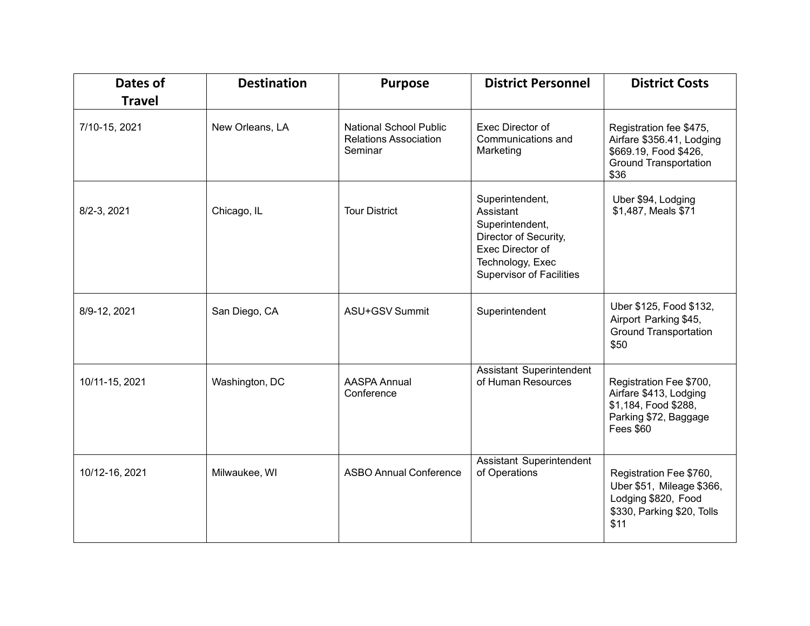| Dates of<br><b>Travel</b> | <b>Destination</b> | <b>Purpose</b>                                                           | <b>District Personnel</b>                                                                                                                    | <b>District Costs</b>                                                                                                  |
|---------------------------|--------------------|--------------------------------------------------------------------------|----------------------------------------------------------------------------------------------------------------------------------------------|------------------------------------------------------------------------------------------------------------------------|
| 7/10-15, 2021             | New Orleans, LA    | <b>National School Public</b><br><b>Relations Association</b><br>Seminar | Exec Director of<br>Communications and<br>Marketing                                                                                          | Registration fee \$475,<br>Airfare \$356.41, Lodging<br>\$669.19, Food \$426,<br><b>Ground Transportation</b><br>\$36  |
| 8/2-3, 2021               | Chicago, IL        | <b>Tour District</b>                                                     | Superintendent,<br>Assistant<br>Superintendent,<br>Director of Security,<br>Exec Director of<br>Technology, Exec<br>Supervisor of Facilities | Uber \$94, Lodging<br>\$1,487, Meals \$71                                                                              |
| 8/9-12, 2021              | San Diego, CA      | ASU+GSV Summit                                                           | Superintendent                                                                                                                               | Uber \$125, Food \$132,<br>Airport Parking \$45,<br><b>Ground Transportation</b><br>\$50                               |
| 10/11-15, 2021            | Washington, DC     | <b>AASPA Annual</b><br>Conference                                        | Assistant Superintendent<br>of Human Resources                                                                                               | Registration Fee \$700,<br>Airfare \$413, Lodging<br>\$1,184, Food \$288,<br>Parking \$72, Baggage<br><b>Fees \$60</b> |
| 10/12-16, 2021            | Milwaukee, WI      | <b>ASBO Annual Conference</b>                                            | Assistant Superintendent<br>of Operations                                                                                                    | Registration Fee \$760,<br>Uber \$51, Mileage \$366,<br>Lodging \$820, Food<br>\$330, Parking \$20, Tolls<br>\$11      |